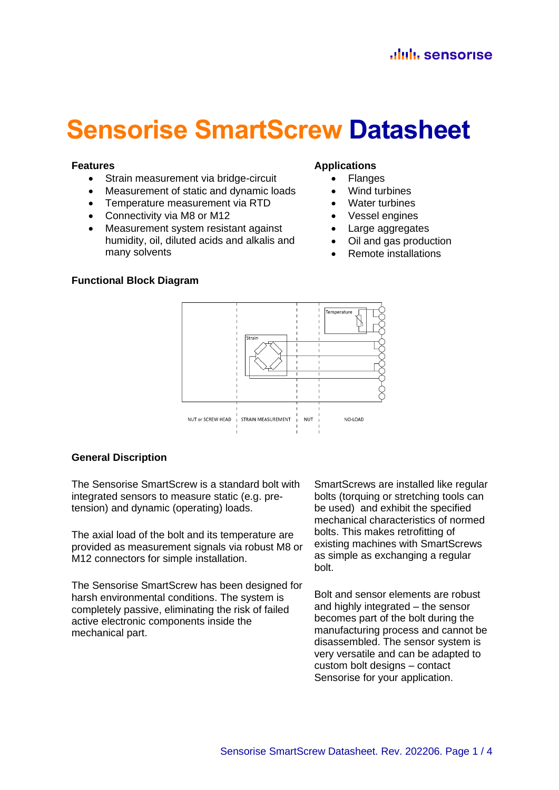# **Sensorise SmartScrew Datasheet**

#### **Features**

- Strain measurement via bridge-circuit
- Measurement of static and dynamic loads
- Temperature measurement via RTD
- Connectivity via M8 or M12
- Measurement system resistant against humidity, oil, diluted acids and alkalis and many solvents

#### **Applications**

- Flanges
- Wind turbines
- Water turbines
- Vessel engines
- Large aggregates
- Oil and gas production
- Remote installations

## **Functional Block Diagram**



#### **General Discription**

The Sensorise SmartScrew is a standard bolt with integrated sensors to measure static (e.g. pretension) and dynamic (operating) loads.

The axial load of the bolt and its temperature are provided as measurement signals via robust M8 or M12 connectors for simple installation.

The Sensorise SmartScrew has been designed for harsh environmental conditions. The system is completely passive, eliminating the risk of failed active electronic components inside the mechanical part.

SmartScrews are installed like regular bolts (torquing or stretching tools can be used) and exhibit the specified mechanical characteristics of normed bolts. This makes retrofitting of existing machines with SmartScrews as simple as exchanging a regular bolt.

Bolt and sensor elements are robust and highly integrated – the sensor becomes part of the bolt during the manufacturing process and cannot be disassembled. The sensor system is very versatile and can be adapted to custom bolt designs – contact Sensorise for your application.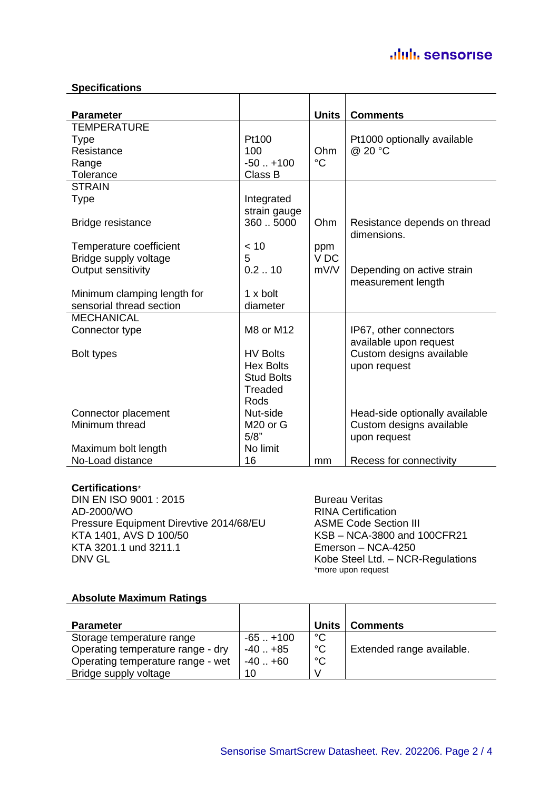### aluli sensorise

#### **Specifications**

| <b>Parameter</b>            |                      | <b>Units</b>    | <b>Comments</b>                |
|-----------------------------|----------------------|-----------------|--------------------------------|
| <b>TEMPERATURE</b>          |                      |                 |                                |
| <b>Type</b>                 | Pt100                |                 | Pt1000 optionally available    |
| Resistance                  | 100                  | Ohm             | @ 20 °C                        |
| Range                       | $-50$ $+100$         | $^{\circ}C$     |                                |
| Tolerance                   | Class B              |                 |                                |
| <b>STRAIN</b>               |                      |                 |                                |
| <b>Type</b>                 | Integrated           |                 |                                |
|                             | strain gauge         |                 |                                |
| Bridge resistance           | 3605000              | Ohm             | Resistance depends on thread   |
|                             |                      |                 | dimensions.                    |
| Temperature coefficient     | < 10                 | ppm             |                                |
| Bridge supply voltage       | 5                    | V <sub>DC</sub> |                                |
| Output sensitivity          | 0.210                | mV/V            | Depending on active strain     |
|                             |                      |                 | measurement length             |
| Minimum clamping length for | 1 x bolt             |                 |                                |
| sensorial thread section    | diameter             |                 |                                |
| <b>MECHANICAL</b>           |                      |                 |                                |
| Connector type              | M8 or M12            |                 | IP67, other connectors         |
|                             |                      |                 | available upon request         |
| Bolt types                  | <b>HV Bolts</b>      |                 | Custom designs available       |
|                             | <b>Hex Bolts</b>     |                 | upon request                   |
|                             | <b>Stud Bolts</b>    |                 |                                |
|                             | <b>Treaded</b>       |                 |                                |
|                             | <b>Rods</b>          |                 |                                |
| Connector placement         | Nut-side             |                 | Head-side optionally available |
| Minimum thread              | M <sub>20</sub> or G |                 | Custom designs available       |
|                             | 5/8"                 |                 | upon request                   |
| Maximum bolt length         | No limit             |                 |                                |
| No-Load distance            | 16                   | mm              | Recess for connectivity        |

#### **Certifications**\*

DIN EN ISO 9001 : 2015 Bureau Veritas AD-2000/WO<br>Pressure Equipment Direvtive 2014/68/EU ASME Code Section III Pressure Equipment Direvtive 2014/68/EU KTA 1401, AVS D 100/50<br>
KSB – NCA-3800 and 100CFR21<br>
Emerson – NCA-4250 DNV GL **Kobe Steel Ltd. – NCR-Regulations** 

Emerson – NCA-4250 \*more upon request

#### **Absolute Maximum Ratings**

| <b>Parameter</b>                  |           | <b>Units</b> | <b>Comments</b>           |
|-----------------------------------|-----------|--------------|---------------------------|
| Storage temperature range         | $-65+100$ | $^{\circ}C$  |                           |
| Operating temperature range - dry | $-40+85$  | $^{\circ}$ C | Extended range available. |
| Operating temperature range - wet | $-40+60$  | $^{\circ}C$  |                           |
| Bridge supply voltage             | 10        |              |                           |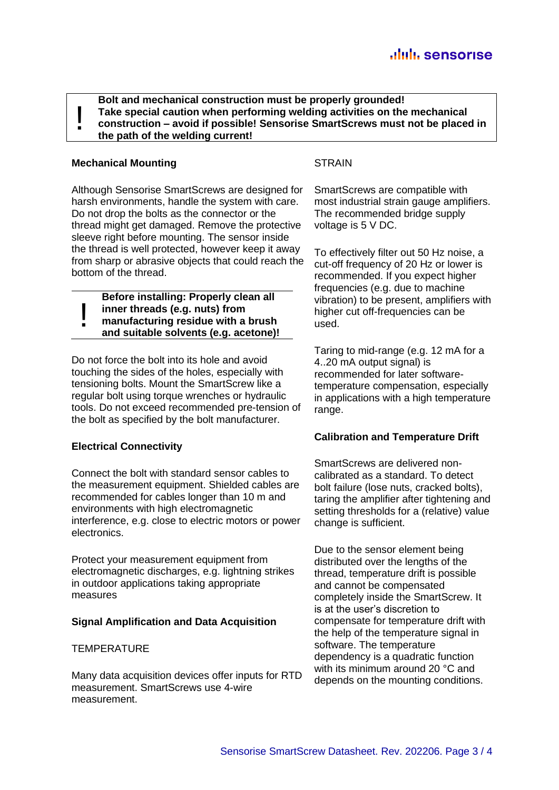**Bolt and mechanical construction must be properly grounded! Take special caution when performing welding activities on the mechanical construction – avoid if possible! Sensorise SmartScrews must not be placed in the path of the welding current!**

#### **Mechanical Mounting**

!

!

Although Sensorise SmartScrews are designed for harsh environments, handle the system with care. Do not drop the bolts as the connector or the thread might get damaged. Remove the protective sleeve right before mounting. The sensor inside the thread is well protected, however keep it away from sharp or abrasive objects that could reach the bottom of the thread.

**Before installing: Properly clean all inner threads (e.g. nuts) from manufacturing residue with a brush and suitable solvents (e.g. acetone)!**

Do not force the bolt into its hole and avoid touching the sides of the holes, especially with tensioning bolts. Mount the SmartScrew like a regular bolt using torque wrenches or hydraulic tools. Do not exceed recommended pre-tension of the bolt as specified by the bolt manufacturer.

#### **Electrical Connectivity**

Connect the bolt with standard sensor cables to the measurement equipment. Shielded cables are recommended for cables longer than 10 m and environments with high electromagnetic interference, e.g. close to electric motors or power electronics.

Protect your measurement equipment from electromagnetic discharges, e.g. lightning strikes in outdoor applications taking appropriate measures

#### **Signal Amplification and Data Acquisition**

#### **TEMPERATURE**

Many data acquisition devices offer inputs for RTD measurement. SmartScrews use 4-wire measurement.

#### **STRAIN**

SmartScrews are compatible with most industrial strain gauge amplifiers. The recommended bridge supply voltage is 5 V DC.

To effectively filter out 50 Hz noise, a cut-off frequency of 20 Hz or lower is recommended. If you expect higher frequencies (e.g. due to machine vibration) to be present, amplifiers with higher cut off-frequencies can be used.

Taring to mid-range (e.g. 12 mA for a 4..20 mA output signal) is recommended for later softwaretemperature compensation, especially in applications with a high temperature range.

#### **Calibration and Temperature Drift**

SmartScrews are delivered noncalibrated as a standard. To detect bolt failure (lose nuts, cracked bolts), taring the amplifier after tightening and setting thresholds for a (relative) value change is sufficient.

Due to the sensor element being distributed over the lengths of the thread, temperature drift is possible and cannot be compensated completely inside the SmartScrew. It is at the user's discretion to compensate for temperature drift with the help of the temperature signal in software. The temperature dependency is a quadratic function with its minimum around 20 °C and depends on the mounting conditions.